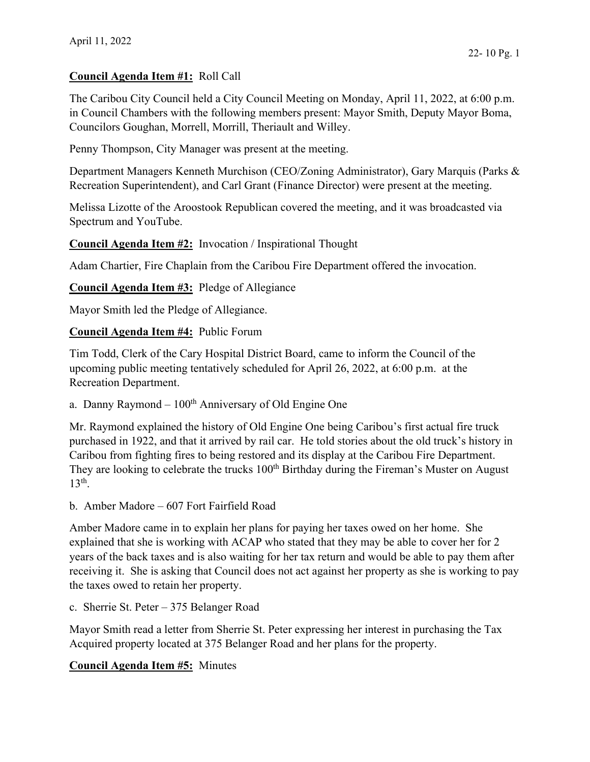## **Council Agenda Item #1:** Roll Call

The Caribou City Council held a City Council Meeting on Monday, April 11, 2022, at 6:00 p.m. in Council Chambers with the following members present: Mayor Smith, Deputy Mayor Boma, Councilors Goughan, Morrell, Morrill, Theriault and Willey.

Penny Thompson, City Manager was present at the meeting.

Department Managers Kenneth Murchison (CEO/Zoning Administrator), Gary Marquis (Parks & Recreation Superintendent), and Carl Grant (Finance Director) were present at the meeting.

Melissa Lizotte of the Aroostook Republican covered the meeting, and it was broadcasted via Spectrum and YouTube.

**Council Agenda Item #2:** Invocation / Inspirational Thought

Adam Chartier, Fire Chaplain from the Caribou Fire Department offered the invocation.

**Council Agenda Item #3:** Pledge of Allegiance

Mayor Smith led the Pledge of Allegiance.

**Council Agenda Item #4:** Public Forum

Tim Todd, Clerk of the Cary Hospital District Board, came to inform the Council of the upcoming public meeting tentatively scheduled for April 26, 2022, at 6:00 p.m. at the Recreation Department.

## a. Danny Raymond –  $100<sup>th</sup>$  Anniversary of Old Engine One

Mr. Raymond explained the history of Old Engine One being Caribou's first actual fire truck purchased in 1922, and that it arrived by rail car. He told stories about the old truck's history in Caribou from fighting fires to being restored and its display at the Caribou Fire Department. They are looking to celebrate the trucks 100<sup>th</sup> Birthday during the Fireman's Muster on August  $13<sup>th</sup>$ .

b. Amber Madore – 607 Fort Fairfield Road

Amber Madore came in to explain her plans for paying her taxes owed on her home. She explained that she is working with ACAP who stated that they may be able to cover her for 2 years of the back taxes and is also waiting for her tax return and would be able to pay them after receiving it. She is asking that Council does not act against her property as she is working to pay the taxes owed to retain her property.

c. Sherrie St. Peter – 375 Belanger Road

Mayor Smith read a letter from Sherrie St. Peter expressing her interest in purchasing the Tax Acquired property located at 375 Belanger Road and her plans for the property.

# **Council Agenda Item #5:** Minutes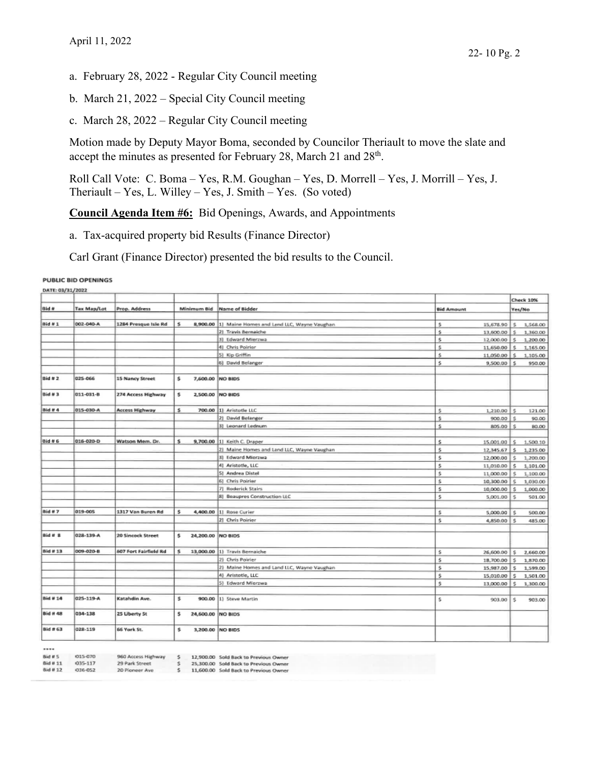- a. February 28, 2022 Regular City Council meeting
- b. March 21, 2022 Special City Council meeting
- c. March 28, 2022 Regular City Council meeting

Motion made by Deputy Mayor Boma, seconded by Councilor Theriault to move the slate and accept the minutes as presented for February 28, March 21 and 28<sup>th</sup>.

Roll Call Vote: C. Boma – Yes, R.M. Goughan – Yes, D. Morrell – Yes, J. Morrill – Yes, J. Theriault – Yes, L. Willey – Yes, J. Smith – Yes. (So voted)

**Council Agenda Item #6:** Bid Openings, Awards, and Appointments

a. Tax-acquired property bid Results (Finance Director)

Carl Grant (Finance Director) presented the bid results to the Council.

#### PUBLIC BID OPENINGS

| DATE: 03/31/2022 |                    |                              |    |                  |                                                      |                     |              | <b>Check 10%</b> |
|------------------|--------------------|------------------------------|----|------------------|------------------------------------------------------|---------------------|--------------|------------------|
| <b>Bid #</b>     | <b>Tax Map/Lot</b> | Prop. Address                |    | Minimum Bid      | Name of Bidder                                       | <b>Bid Amount</b>   | Yes/No       |                  |
|                  |                    |                              |    |                  |                                                      |                     |              |                  |
| $Bid*1$          | 002-040-A          | 1284 Presque Isle Rd         | s  |                  | 8,900.00 1] Maine Homes and Land LLC, Wayne Vaughan. | Ś<br>15,678.90      | s            | 1,568.00         |
|                  |                    |                              |    |                  | 2) Travis Bernaiche                                  | s.<br>13,600.00     | s.           | 1,360.00         |
|                  |                    |                              |    |                  | 3) Edward Mierzwa                                    | \$<br>12,000.00     | s            | 1,200.00         |
|                  |                    |                              |    |                  | 4) Chris Poinier                                     | Ś<br>11,650.00      |              | 1,165.00         |
|                  |                    |                              |    |                  | 5) Kip Griffin                                       | Ś.<br>11,050,00     | s            | 1,105.00         |
|                  |                    |                              |    |                  | 6) David Belanger                                    | \$<br>9,500.00      | ١s           | 950.00           |
|                  |                    |                              |    |                  |                                                      |                     |              |                  |
| Bid # 2          | 025-066            | 15 Nancy Street              | \$ | 7,600.00 NO BIDS |                                                      |                     |              |                  |
| Bid # 3          | 011-031-B          | 274 Access Highway           | \$ | 2,500.00         | NO BIDS                                              |                     |              |                  |
| Bid # 4          | 015-030-A          | Access Highway               | s  | 700.00           | 1] Aristotle LLC                                     | \$<br>$1,210.00$ \$ |              | 121.00           |
|                  |                    |                              |    |                  | 2) David Belanger                                    | \$.<br>900.00       | Š.           | 90.00            |
|                  |                    |                              |    |                  | 3] Leonard Lednum                                    | Ś<br>805.00         | s            | 80.00            |
|                  |                    |                              |    |                  |                                                      |                     |              |                  |
| <b>Bid #6</b>    | 016-020-D          | Watson Mem. Dr.              | s  |                  | 9,700.00 11 Keith C. Draper                          | \$<br>15,001.00     | ¢            | 1,500.10         |
|                  |                    |                              |    |                  | 2) Maine Homes and Land LLC, Wayne Vaughan           | s<br>12,345.67      | 大            | 1,235.00         |
|                  |                    |                              |    |                  | 3) Edward Mierzwa                                    | s<br>12,000.00      | Ś            | 1,200.00         |
|                  |                    |                              |    |                  | 4] Aristotle, LLC                                    | Ś<br>11,010.00      | s            | 1.101.00         |
|                  |                    |                              |    |                  | 5) Andrea Distel                                     | \$<br>11,000.00     | s            | 1.100.00         |
|                  |                    |                              |    |                  | 6] Chris Poirier                                     | \$<br>10,300.00     | s            | 1,030.00         |
|                  |                    |                              |    |                  | 7] Roderick Stairs                                   | Ś<br>10,000.00      | s            | 1,000.00         |
|                  |                    |                              |    |                  | <b>8) Beaupres Construction LLC</b>                  | \$<br>5,001.00      | s            | 501.00           |
|                  |                    |                              |    |                  |                                                      |                     |              |                  |
| Bid #7           | 019-005            | 1317 Van Buren Rd            | s  | 4,400.00         | 11 Rose Curier                                       | 5,000.00<br>\$      | $\mathsf{S}$ | 500.00           |
|                  |                    |                              |    |                  | 21 Chris Poirier                                     | ś<br>4,850.00       | s            | 485.00           |
|                  |                    |                              |    |                  |                                                      |                     |              |                  |
| $Bid \# B$       | 028-139-A          | 20 Sincock Street            | s. | 24,200.00        | NO BIDS                                              |                     |              |                  |
| Bid # 13         | 009-020-B          | <b>607 Fort Fairfield Rd</b> | s  | 13,000.00        | 1) Travis Bernaiche                                  | Ś<br>26,600.00      | s            | 2,660.00         |
|                  |                    |                              |    |                  | 2) Chris Poirier                                     | s<br>18,700.00      | s            | 1,870.00         |
|                  |                    |                              |    |                  | 2) Maine Homes and Land LLC, Wayne Vaughan           | s<br>15,987.00      | s            | 1,599.00         |
|                  |                    |                              |    |                  | 4) Aristotle, LLC                                    | ŝ<br>15,010.00      | s            | 1,501.00         |
|                  |                    |                              |    |                  | 5) Edward Mierzwa                                    | \$<br>13,000.00     | s            | 1,300.00         |
|                  |                    |                              |    |                  |                                                      |                     |              |                  |
| <b>Bid # 14</b>  | 025-119-A          | Katahdin Ave.                | \$ | 900.00           | 1) Steve Martin                                      | \$<br>903,00        | ١s           | 903.00           |
| <b>Bid # 48</b>  | 034-138            | 25 Liberty St                | \$ | 24,600.00        | <b>NO BIDS</b>                                       |                     |              |                  |
| Bid # 63         | 028-119            | 66 York St.                  | s  | 3,200.00         | NO BIDS                                              |                     |              |                  |

| hid.    | 相当 |  |
|---------|----|--|
| Rid # 1 |    |  |
| ÷       |    |  |

015-070 035-117

036-052

29 Park Street

20 Pioneer Ave

\$

960 Access Highway \$ 12,900.00 Sold Back to Previous Owner 25,300.00 Sold Back to Previous Owner

5 25,300.00 Sold Back to Previous Owner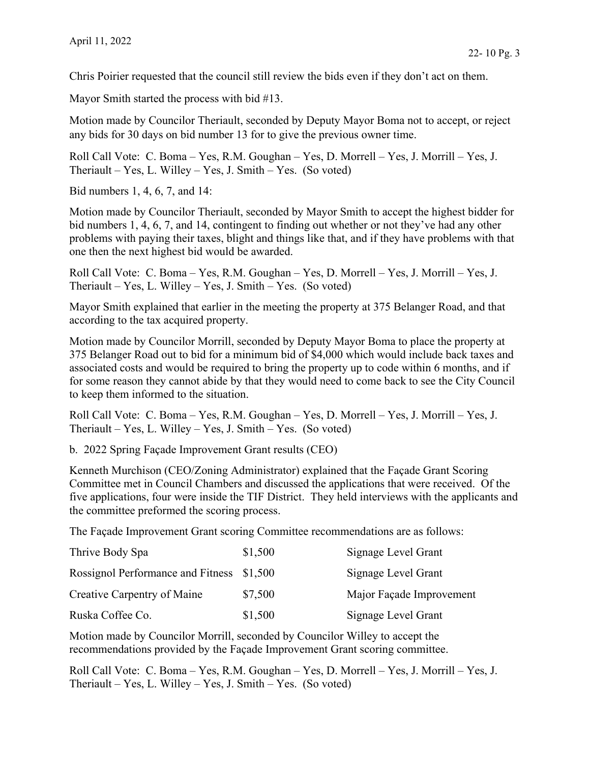Chris Poirier requested that the council still review the bids even if they don't act on them.

Mayor Smith started the process with bid #13.

Motion made by Councilor Theriault, seconded by Deputy Mayor Boma not to accept, or reject any bids for 30 days on bid number 13 for to give the previous owner time.

Roll Call Vote: C. Boma – Yes, R.M. Goughan – Yes, D. Morrell – Yes, J. Morrill – Yes, J. Theriault – Yes, L. Willey – Yes, J. Smith – Yes. (So voted)

Bid numbers 1, 4, 6, 7, and 14:

Motion made by Councilor Theriault, seconded by Mayor Smith to accept the highest bidder for bid numbers 1, 4, 6, 7, and 14, contingent to finding out whether or not they've had any other problems with paying their taxes, blight and things like that, and if they have problems with that one then the next highest bid would be awarded.

Roll Call Vote: C. Boma – Yes, R.M. Goughan – Yes, D. Morrell – Yes, J. Morrill – Yes, J. Theriault – Yes, L. Willey – Yes, J. Smith – Yes. (So voted)

Mayor Smith explained that earlier in the meeting the property at 375 Belanger Road, and that according to the tax acquired property.

Motion made by Councilor Morrill, seconded by Deputy Mayor Boma to place the property at 375 Belanger Road out to bid for a minimum bid of \$4,000 which would include back taxes and associated costs and would be required to bring the property up to code within 6 months, and if for some reason they cannot abide by that they would need to come back to see the City Council to keep them informed to the situation.

Roll Call Vote: C. Boma – Yes, R.M. Goughan – Yes, D. Morrell – Yes, J. Morrill – Yes, J. Theriault – Yes, L. Willey – Yes, J. Smith – Yes. (So voted)

b. 2022 Spring Façade Improvement Grant results (CEO)

Kenneth Murchison (CEO/Zoning Administrator) explained that the Façade Grant Scoring Committee met in Council Chambers and discussed the applications that were received. Of the five applications, four were inside the TIF District. They held interviews with the applicants and the committee preformed the scoring process.

The Façade Improvement Grant scoring Committee recommendations are as follows:

| Thrive Body Spa                           | \$1,500 | Signage Level Grant      |
|-------------------------------------------|---------|--------------------------|
| Rossignol Performance and Fitness \$1,500 |         | Signage Level Grant      |
| Creative Carpentry of Maine               | \$7,500 | Major Façade Improvement |
| Ruska Coffee Co.                          | \$1,500 | Signage Level Grant      |

Motion made by Councilor Morrill, seconded by Councilor Willey to accept the recommendations provided by the Façade Improvement Grant scoring committee.

Roll Call Vote: C. Boma – Yes, R.M. Goughan – Yes, D. Morrell – Yes, J. Morrill – Yes, J. Theriault – Yes, L. Willey – Yes, J. Smith – Yes. (So voted)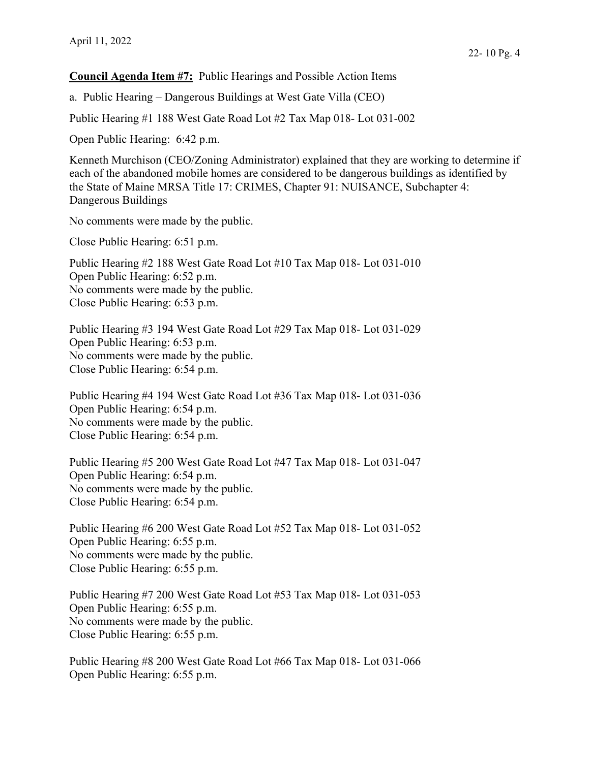### **Council Agenda Item #7:** Public Hearings and Possible Action Items

a. Public Hearing – Dangerous Buildings at West Gate Villa (CEO)

Public Hearing #1 188 West Gate Road Lot #2 Tax Map 018- Lot 031-002

Open Public Hearing: 6:42 p.m.

Kenneth Murchison (CEO/Zoning Administrator) explained that they are working to determine if each of the abandoned mobile homes are considered to be dangerous buildings as identified by the State of Maine MRSA Title 17: CRIMES, Chapter 91: NUISANCE, Subchapter 4: Dangerous Buildings

No comments were made by the public.

Close Public Hearing: 6:51 p.m.

Public Hearing #2 188 West Gate Road Lot #10 Tax Map 018- Lot 031-010 Open Public Hearing: 6:52 p.m. No comments were made by the public. Close Public Hearing: 6:53 p.m.

Public Hearing #3 194 West Gate Road Lot #29 Tax Map 018- Lot 031-029 Open Public Hearing: 6:53 p.m. No comments were made by the public. Close Public Hearing: 6:54 p.m.

Public Hearing #4 194 West Gate Road Lot #36 Tax Map 018- Lot 031-036 Open Public Hearing: 6:54 p.m. No comments were made by the public. Close Public Hearing: 6:54 p.m.

Public Hearing #5 200 West Gate Road Lot #47 Tax Map 018- Lot 031-047 Open Public Hearing: 6:54 p.m. No comments were made by the public. Close Public Hearing: 6:54 p.m.

Public Hearing #6 200 West Gate Road Lot #52 Tax Map 018- Lot 031-052 Open Public Hearing: 6:55 p.m. No comments were made by the public. Close Public Hearing: 6:55 p.m.

Public Hearing #7 200 West Gate Road Lot #53 Tax Map 018- Lot 031-053 Open Public Hearing: 6:55 p.m. No comments were made by the public. Close Public Hearing: 6:55 p.m.

Public Hearing #8 200 West Gate Road Lot #66 Tax Map 018- Lot 031-066 Open Public Hearing: 6:55 p.m.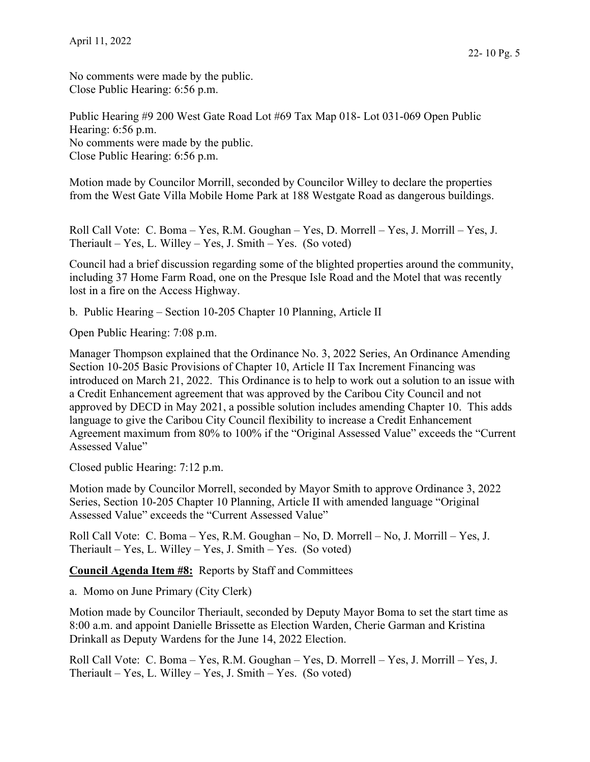No comments were made by the public.

Close Public Hearing: 6:56 p.m.

Motion made by Councilor Morrill, seconded by Councilor Willey to declare the properties from the West Gate Villa Mobile Home Park at 188 Westgate Road as dangerous buildings.

Roll Call Vote: C. Boma – Yes, R.M. Goughan – Yes, D. Morrell – Yes, J. Morrill – Yes, J. Theriault – Yes, L. Willey – Yes, J. Smith – Yes. (So voted)

Council had a brief discussion regarding some of the blighted properties around the community, including 37 Home Farm Road, one on the Presque Isle Road and the Motel that was recently lost in a fire on the Access Highway.

b. Public Hearing – Section 10-205 Chapter 10 Planning, Article II

Open Public Hearing: 7:08 p.m.

Manager Thompson explained that the Ordinance No. 3, 2022 Series, An Ordinance Amending Section 10-205 Basic Provisions of Chapter 10, Article II Tax Increment Financing was introduced on March 21, 2022. This Ordinance is to help to work out a solution to an issue with a Credit Enhancement agreement that was approved by the Caribou City Council and not approved by DECD in May 2021, a possible solution includes amending Chapter 10. This adds language to give the Caribou City Council flexibility to increase a Credit Enhancement Agreement maximum from 80% to 100% if the "Original Assessed Value" exceeds the "Current Assessed Value"

Closed public Hearing: 7:12 p.m.

Motion made by Councilor Morrell, seconded by Mayor Smith to approve Ordinance 3, 2022 Series, Section 10-205 Chapter 10 Planning, Article II with amended language "Original Assessed Value" exceeds the "Current Assessed Value"

Roll Call Vote: C. Boma – Yes, R.M. Goughan – No, D. Morrell – No, J. Morrill – Yes, J. Theriault – Yes, L. Willey – Yes, J. Smith – Yes. (So voted)

**Council Agenda Item #8:** Reports by Staff and Committees

a. Momo on June Primary (City Clerk)

Motion made by Councilor Theriault, seconded by Deputy Mayor Boma to set the start time as 8:00 a.m. and appoint Danielle Brissette as Election Warden, Cherie Garman and Kristina Drinkall as Deputy Wardens for the June 14, 2022 Election.

Roll Call Vote: C. Boma – Yes, R.M. Goughan – Yes, D. Morrell – Yes, J. Morrill – Yes, J. Theriault – Yes, L. Willey – Yes, J. Smith – Yes. (So voted)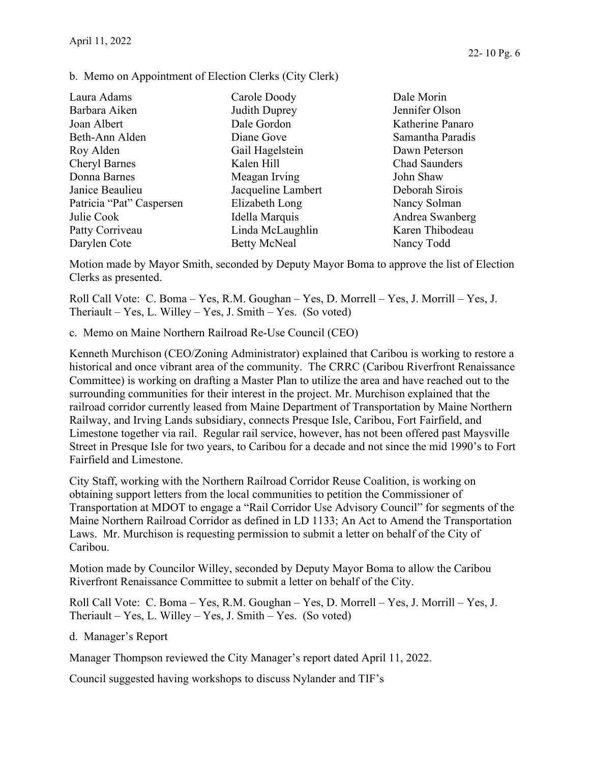b. Memo on Appointment of Election Clerks (City Clerk)

| Laura Adams              | Carole Doody        | Dale Morin           |
|--------------------------|---------------------|----------------------|
| Barbara Aiken            | Judith Duprey       | Jennifer Olson       |
| Joan Albert              | Dale Gordon         | Katherine Panaro     |
| Beth-Ann Alden           | Diane Gove          | Samantha Paradis     |
| Roy Alden                | Gail Hagelstein     | Dawn Peterson        |
| <b>Cheryl Barnes</b>     | Kalen Hill          | <b>Chad Saunders</b> |
| Donna Barnes             | Meagan Irving       | John Shaw            |
| Janice Beaulieu          | Jacqueline Lambert  | Deborah Sirois       |
| Patricia "Pat" Caspersen | Elizabeth Long      | Nancy Solman         |
| Julie Cook               | Idella Marquis      | Andrea Swanberg      |
| Patty Corriveau          | Linda McLaughlin    | Karen Thibodeau      |
| Darylen Cote             | <b>Betty McNeal</b> | Nancy Todd           |

Motion made by Mayor Smith, seconded by Deputy Mayor Boma to approve the list of Election Clerks as presented.

Roll Call Vote: C. Boma – Yes, R.M. Goughan – Yes, D. Morrell – Yes, J. Morrill – Yes, J. Theriault – Yes, L. Willey – Yes, J. Smith – Yes. (So voted)

c. Memo on Maine Northern Railroad Re-Use Council (CEO)

Kenneth Murchison (CEO/Zoning Administrator) explained that Caribou is working to restore a historical and once vibrant area of the community. The CRRC (Caribou Riverfront Renaissance Committee) is working on drafting a Master Plan to utilize the area and have reached out to the surrounding communities for their interest in the project. Mr. Murchison explained that the railroad corridor currently leased from Maine Department of Transportation by Maine Northern Railway, and Irving Lands subsidiary, connects Presque Isle, Caribou, Fort Fairfield, and Limestone together via rail. Regular rail service, however, has not been offered past Maysville Street in Presque Isle for two years, to Caribou for a decade and not since the mid 1990's to Fort Fairfield and Limestone.

City Staff, working with the Northern Railroad Corridor Reuse Coalition, is working on obtaining support letters from the local communities to petition the Commissioner of Transportation at MDOT to engage a "Rail Corridor Use Advisory Council" for segments of the Maine Northern Railroad Corridor as defined in LD 1133; An Act to Amend the Transportation Laws. Mr. Murchison is requesting permission to submit a letter on behalf of the City of Caribou.

Motion made by Councilor Willey, seconded by Deputy Mayor Boma to allow the Caribou Riverfront Renaissance Committee to submit a letter on behalf of the City.

Roll Call Vote: C. Boma – Yes, R.M. Goughan – Yes, D. Morrell – Yes, J. Morrill – Yes, J. Theriault – Yes, L. Willey – Yes, J. Smith – Yes. (So voted)

d. Manager's Report

Manager Thompson reviewed the City Manager's report dated April 11, 2022.

Council suggested having workshops to discuss Nylander and TIF's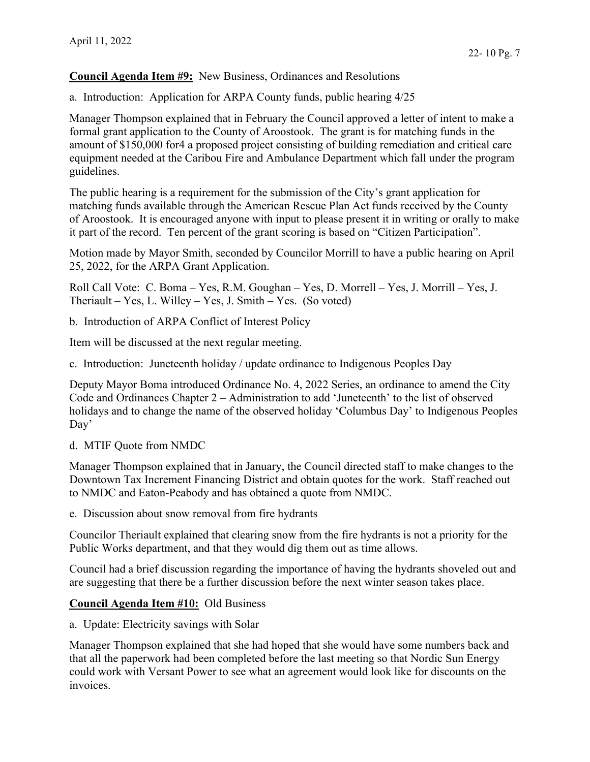**Council Agenda Item #9:** New Business, Ordinances and Resolutions

a. Introduction: Application for ARPA County funds, public hearing 4/25

Manager Thompson explained that in February the Council approved a letter of intent to make a formal grant application to the County of Aroostook. The grant is for matching funds in the amount of \$150,000 for4 a proposed project consisting of building remediation and critical care equipment needed at the Caribou Fire and Ambulance Department which fall under the program guidelines.

The public hearing is a requirement for the submission of the City's grant application for matching funds available through the American Rescue Plan Act funds received by the County of Aroostook. It is encouraged anyone with input to please present it in writing or orally to make it part of the record. Ten percent of the grant scoring is based on "Citizen Participation".

Motion made by Mayor Smith, seconded by Councilor Morrill to have a public hearing on April 25, 2022, for the ARPA Grant Application.

Roll Call Vote: C. Boma – Yes, R.M. Goughan – Yes, D. Morrell – Yes, J. Morrill – Yes, J. Theriault – Yes, L. Willey – Yes, J. Smith – Yes. (So voted)

b. Introduction of ARPA Conflict of Interest Policy

Item will be discussed at the next regular meeting.

c. Introduction: Juneteenth holiday / update ordinance to Indigenous Peoples Day

Deputy Mayor Boma introduced Ordinance No. 4, 2022 Series, an ordinance to amend the City Code and Ordinances Chapter 2 – Administration to add 'Juneteenth' to the list of observed holidays and to change the name of the observed holiday 'Columbus Day' to Indigenous Peoples Day'

d. MTIF Quote from NMDC

Manager Thompson explained that in January, the Council directed staff to make changes to the Downtown Tax Increment Financing District and obtain quotes for the work. Staff reached out to NMDC and Eaton-Peabody and has obtained a quote from NMDC.

e. Discussion about snow removal from fire hydrants

Councilor Theriault explained that clearing snow from the fire hydrants is not a priority for the Public Works department, and that they would dig them out as time allows.

Council had a brief discussion regarding the importance of having the hydrants shoveled out and are suggesting that there be a further discussion before the next winter season takes place.

### **Council Agenda Item #10:** Old Business

a. Update: Electricity savings with Solar

Manager Thompson explained that she had hoped that she would have some numbers back and that all the paperwork had been completed before the last meeting so that Nordic Sun Energy could work with Versant Power to see what an agreement would look like for discounts on the invoices.